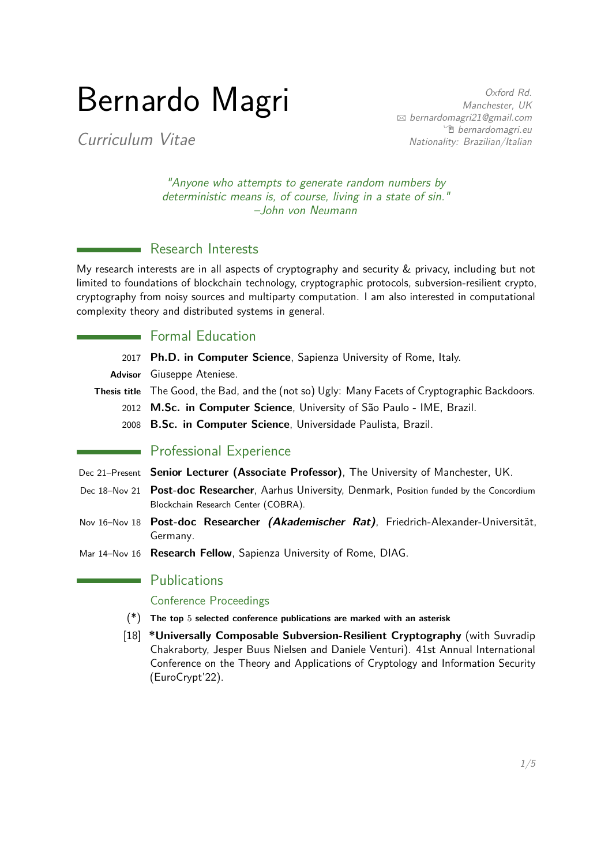# Bernardo Magri

Oxford Rd. Manchester, UK B [bernardomagri21@gmail.com](mailto:bernardomagri21@gmail.com) <sup>•</sup> [bernardomagri.eu](http://http://www.bernardomagri.eu) Nationality: Brazilian/Italian

Curriculum Vitae

"Anyone who attempts to generate random numbers by deterministic means is, of course, living in a state of sin." –John von Neumann

# **Research Interests**

My research interests are in all aspects of cryptography and security & privacy, including but not limited to foundations of blockchain technology, cryptographic protocols, subversion-resilient crypto, cryptography from noisy sources and multiparty computation. I am also interested in computational complexity theory and distributed systems in general.

# **Formal Education**

- 2017 **Ph.D. in Computer Science**, Sapienza University of Rome, Italy.
- **Advisor** Giuseppe Ateniese.
- **Thesis title** The Good, the Bad, and the (not so) Ugly: Many Facets of Cryptographic Backdoors.
	- 2012 **M.Sc. in Computer Science**, University of São Paulo IME, Brazil.
	- 2008 **B.Sc. in Computer Science**, Universidade Paulista, Brazil.

# **Professional Experience**

- Dec 21–Present **Senior Lecturer (Associate Professor)**, The University of Manchester, UK.
- Dec 18–Nov 21 **Post-doc Researcher**, Aarhus University, Denmark, Position funded by the Concordium Blockchain Research Center (COBRA).
- Nov 16–Nov 18 **Post-doc Researcher (Akademischer Rat)**, Friedrich-Alexander-Universität, Germany.
- Mar 14–Nov 16 **Research Fellow**, Sapienza University of Rome, DIAG.

### **Publications**

#### Conference Proceedings

- (\*) **The top** 5 **selected conference publications are marked with an asterisk**
- [18] **\*Universally Composable Subversion-Resilient Cryptography** (with Suvradip Chakraborty, Jesper Buus Nielsen and Daniele Venturi). 41st Annual International Conference on the Theory and Applications of Cryptology and Information Security (EuroCrypt'22).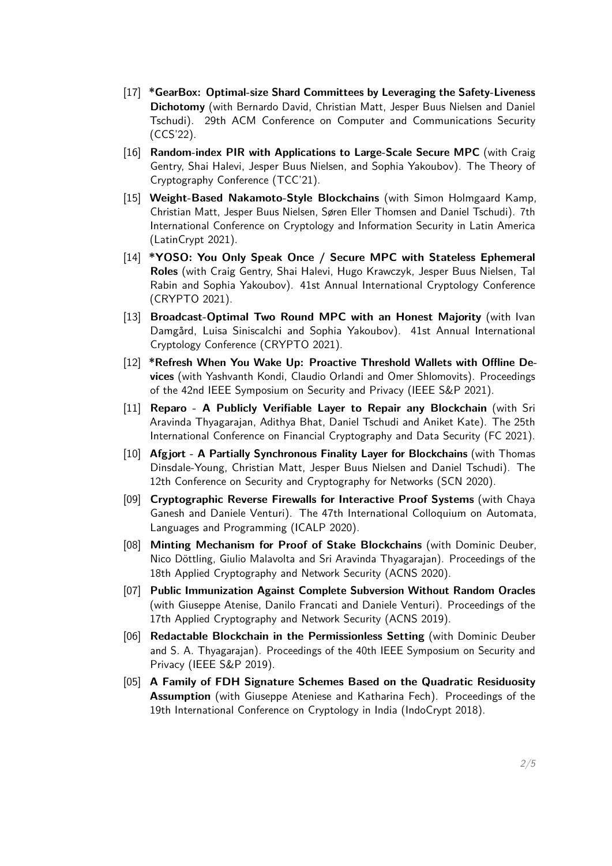- [17] **\*GearBox: Optimal-size Shard Committees by Leveraging the Safety-Liveness Dichotomy** (with Bernardo David, Christian Matt, Jesper Buus Nielsen and Daniel Tschudi). 29th ACM Conference on Computer and Communications Security (CCS'22).
- [16] **Random-index PIR with Applications to Large-Scale Secure MPC** (with Craig Gentry, Shai Halevi, Jesper Buus Nielsen, and Sophia Yakoubov). The Theory of Cryptography Conference (TCC'21).
- [15] **Weight-Based Nakamoto-Style Blockchains** (with Simon Holmgaard Kamp, Christian Matt, Jesper Buus Nielsen, Søren Eller Thomsen and Daniel Tschudi). 7th International Conference on Cryptology and Information Security in Latin America (LatinCrypt 2021).
- [14] **\*YOSO: You Only Speak Once / Secure MPC with Stateless Ephemeral Roles** (with Craig Gentry, Shai Halevi, Hugo Krawczyk, Jesper Buus Nielsen, Tal Rabin and Sophia Yakoubov). 41st Annual International Cryptology Conference (CRYPTO 2021).
- [13] **Broadcast-Optimal Two Round MPC with an Honest Majority** (with Ivan Damgård, Luisa Siniscalchi and Sophia Yakoubov). 41st Annual International Cryptology Conference (CRYPTO 2021).
- [12] **\*Refresh When You Wake Up: Proactive Threshold Wallets with Offline Devices** (with Yashvanth Kondi, Claudio Orlandi and Omer Shlomovits). Proceedings of the 42nd IEEE Symposium on Security and Privacy (IEEE S&P 2021).
- [11] **Reparo A Publicly Verifiable Layer to Repair any Blockchain** (with Sri Aravinda Thyagarajan, Adithya Bhat, Daniel Tschudi and Aniket Kate). The 25th International Conference on Financial Cryptography and Data Security (FC 2021).
- [10] **Afgjort A Partially Synchronous Finality Layer for Blockchains** (with Thomas Dinsdale-Young, Christian Matt, Jesper Buus Nielsen and Daniel Tschudi). The 12th Conference on Security and Cryptography for Networks (SCN 2020).
- [09] **Cryptographic Reverse Firewalls for Interactive Proof Systems** (with Chaya Ganesh and Daniele Venturi). The 47th International Colloquium on Automata, Languages and Programming (ICALP 2020).
- [08] **Minting Mechanism for Proof of Stake Blockchains** (with Dominic Deuber, Nico Döttling, Giulio Malavolta and Sri Aravinda Thyagarajan). Proceedings of the 18th Applied Cryptography and Network Security (ACNS 2020).
- [07] **Public Immunization Against Complete Subversion Without Random Oracles** (with Giuseppe Atenise, Danilo Francati and Daniele Venturi). Proceedings of the 17th Applied Cryptography and Network Security (ACNS 2019).
- [06] **Redactable Blockchain in the Permissionless Setting** (with Dominic Deuber and S. A. Thyagarajan). Proceedings of the 40th IEEE Symposium on Security and Privacy (IEEE S&P 2019).
- [05] **A Family of FDH Signature Schemes Based on the Quadratic Residuosity Assumption** (with Giuseppe Ateniese and Katharina Fech). Proceedings of the 19th International Conference on Cryptology in India (IndoCrypt 2018).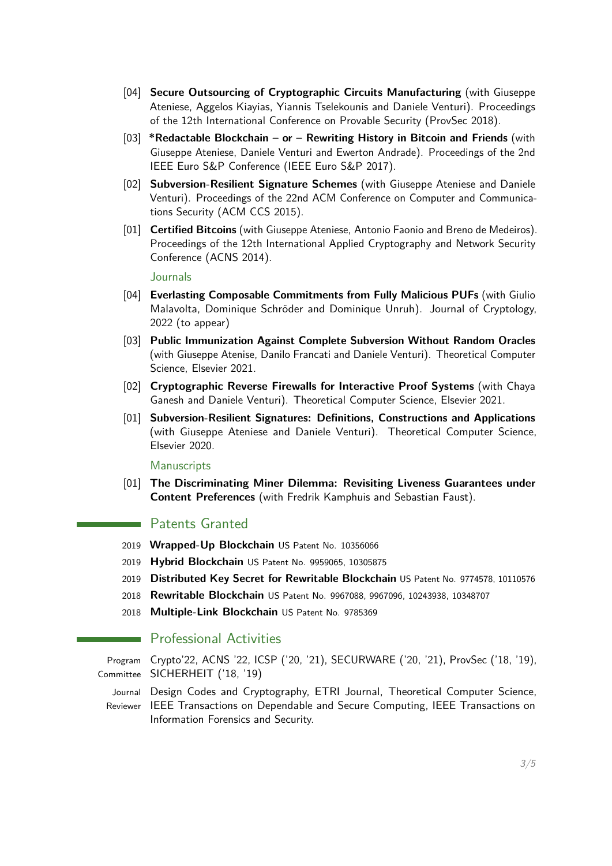- [04] **Secure Outsourcing of Cryptographic Circuits Manufacturing** (with Giuseppe Ateniese, Aggelos Kiayias, Yiannis Tselekounis and Daniele Venturi). Proceedings of the 12th International Conference on Provable Security (ProvSec 2018).
- [03] **\*Redactable Blockchain or Rewriting History in Bitcoin and Friends** (with Giuseppe Ateniese, Daniele Venturi and Ewerton Andrade). Proceedings of the 2nd IEEE Euro S&P Conference (IEEE Euro S&P 2017).
- [02] **Subversion-Resilient Signature Schemes** (with Giuseppe Ateniese and Daniele Venturi). Proceedings of the 22nd ACM Conference on Computer and Communications Security (ACM CCS 2015).
- [01] **Certified Bitcoins** (with Giuseppe Ateniese, Antonio Faonio and Breno de Medeiros). Proceedings of the 12th International Applied Cryptography and Network Security Conference (ACNS 2014).

**Journals** 

- [04] **Everlasting Composable Commitments from Fully Malicious PUFs** (with Giulio Malavolta, Dominique Schröder and Dominique Unruh). Journal of Cryptology, 2022 (to appear)
- [03] **Public Immunization Against Complete Subversion Without Random Oracles** (with Giuseppe Atenise, Danilo Francati and Daniele Venturi). Theoretical Computer Science, Elsevier 2021.
- [02] **Cryptographic Reverse Firewalls for Interactive Proof Systems** (with Chaya Ganesh and Daniele Venturi). Theoretical Computer Science, Elsevier 2021.
- [01] **Subversion-Resilient Signatures: Definitions, Constructions and Applications** (with Giuseppe Ateniese and Daniele Venturi). Theoretical Computer Science, Elsevier 2020.

Manuscripts

[01] **The Discriminating Miner Dilemma: Revisiting Liveness Guarantees under Content Preferences** (with Fredrik Kamphuis and Sebastian Faust).

**Patents Granted** 

- 2019 **Wrapped-Up Blockchain** US Patent No. 10356066
- 2019 **Hybrid Blockchain** US Patent No. 9959065, 10305875
- 2019 **Distributed Key Secret for Rewritable Blockchain** US Patent No. 9774578, 10110576
- 2018 **Rewritable Blockchain** US Patent No. 9967088, 9967096, 10243938, 10348707
- 2018 **Multiple-Link Blockchain** US Patent No. 9785369

#### Professional Activities

Program Crypto'22, ACNS '22, ICSP ('20, '21), SECURWARE ('20, '21), ProvSec ('18, '19), Committee SICHERHEIT ('18, '19)

Journal Design Codes and Cryptography, ETRI Journal, Theoretical Computer Science,

Reviewer IEEE Transactions on Dependable and Secure Computing, IEEE Transactions on Information Forensics and Security.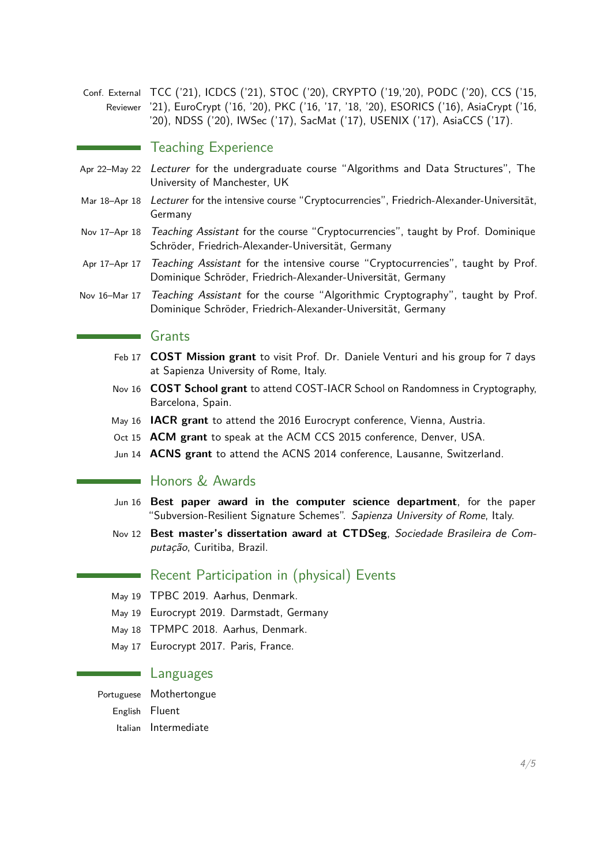Conf. External TCC ('21), ICDCS ('21), STOC ('20), CRYPTO ('19,'20), PODC ('20), CCS ('15, Reviewer '21), EuroCrypt ('16, '20), PKC ('16, '17, '18, '20), ESORICS ('16), AsiaCrypt ('16, '20), NDSS ('20), IWSec ('17), SacMat ('17), USENIX ('17), AsiaCCS ('17).

#### Teaching Experience

- Apr 22–May 22 Lecturer for the undergraduate course "Algorithms and Data Structures", The University of Manchester, UK
- Mar 18–Apr 18 Lecturer for the intensive course "Cryptocurrencies", Friedrich-Alexander-Universität, Germany
- Nov 17-Apr 18 Teaching Assistant for the course "Cryptocurrencies", taught by Prof. Dominique Schröder, Friedrich-Alexander-Universität, Germany
- Apr 17-Apr 17 Teaching Assistant for the intensive course "Cryptocurrencies", taught by Prof. Dominique Schröder, Friedrich-Alexander-Universität, Germany
- Nov 16-Mar 17 Teaching Assistant for the course "Algorithmic Cryptography", taught by Prof. Dominique Schröder, Friedrich-Alexander-Universität, Germany

#### Grants

- Feb 17 **COST Mission grant** to visit Prof. Dr. Daniele Venturi and his group for 7 days at Sapienza University of Rome, Italy.
- Nov 16 **COST School grant** to attend COST-IACR School on Randomness in Cryptography, Barcelona, Spain.
- May 16 **IACR grant** to attend the 2016 Eurocrypt conference, Vienna, Austria.
- Oct 15 **ACM grant** to speak at the ACM CCS 2015 conference, Denver, USA.
- Jun 14 **ACNS grant** to attend the ACNS 2014 conference, Lausanne, Switzerland.

#### ■ Honors & Awards

- Jun 16 **Best paper award in the computer science department**, for the paper "Subversion-Resilient Signature Schemes". Sapienza University of Rome, Italy.
- Nov 12 **Best master's dissertation award at CTDSeg**, Sociedade Brasileira de Computação, Curitiba, Brazil.

#### Recent Participation in (physical) Events

- May 19 TPBC 2019. Aarhus, Denmark.
- May 19 Eurocrypt 2019. Darmstadt, Germany
- May 18 TPMPC 2018. Aarhus, Denmark.
- May 17 Eurocrypt 2017. Paris, France.

#### Languages

#### Portuguese Mothertongue

English Fluent

Italian Intermediate